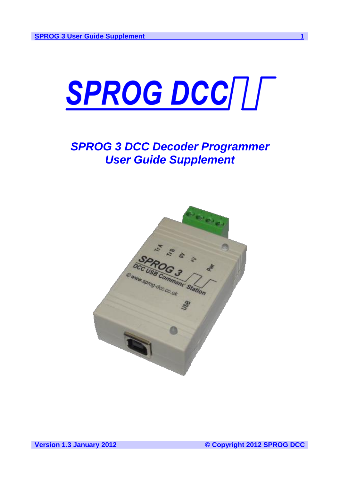

# *SPROG 3 DCC Decoder Programmer User Guide Supplement*

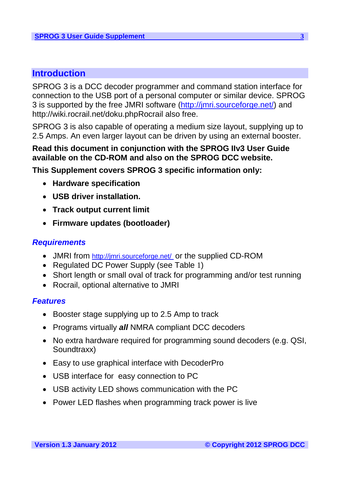# <span id="page-2-0"></span>**Introduction**

SPROG 3 is a DCC decoder programmer and command station interface for connection to the USB port of a personal computer or similar device. SPROG 3 is supported by the free JMRI software (http://jmri.sourceforge.net/) and http://wiki.rocrail.net/doku.phpRocrail also free.

SPROG 3 is also capable of operating a medium size layout, supplying up to 2.5 Amps. An even larger layout can be driven by using an external booster.

### **Read this document in conjunction with the SPROG IIv3 User Guide available on the CD-ROM and also on the SPROG DCC website.**

**This Supplement covers SPROG 3 specific information only:**

- **Hardware specification**
- **USB driver installation.**
- **Track output current limit**
- **Firmware updates (bootloader)**

### <span id="page-2-1"></span>*Requirements*

- JMRI from [http://jmri.sourceforge.net/](http://jmri.sourceforge.net/%20%20) or the supplied CD-ROM
- Regulated DC Power Supply (see [Table](#page-3-1) 1)
- Short length or small oval of track for programming and/or test running
- Rocrail, optional alternative to JMRI

### <span id="page-2-2"></span>*Features*

- Booster stage supplying up to 2.5 Amp to track
- Programs virtually *all* NMRA compliant DCC decoders
- No extra hardware required for programming sound decoders (e.g. QSI, Soundtraxx)
- Easy to use graphical interface with DecoderPro
- USB interface for easy connection to PC
- USB activity LED shows communication with the PC
- Power LED flashes when programming track power is live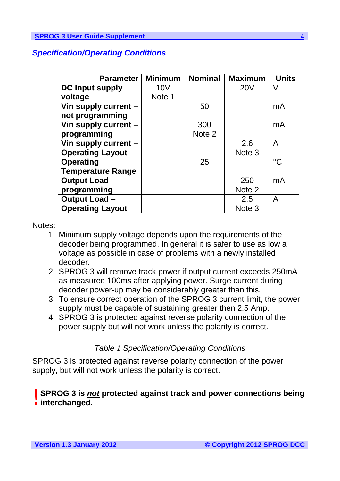### <span id="page-3-0"></span>*Specification/Operating Conditions*

| <b>Parameter</b>         | <b>Minimum</b> | <b>Nominal</b> | <b>Maximum</b> | <b>Units</b> |
|--------------------------|----------------|----------------|----------------|--------------|
| <b>DC Input supply</b>   | <b>10V</b>     |                | <b>20V</b>     | V            |
| voltage                  | Note 1         |                |                |              |
| Vin supply current -     |                | 50             |                | mA           |
| not programming          |                |                |                |              |
| Vin supply current -     |                | 300            |                | mA           |
| programming              |                | Note 2         |                |              |
| Vin supply current -     |                |                | 2.6            | A            |
| <b>Operating Layout</b>  |                |                | Note 3         |              |
| <b>Operating</b>         |                | 25             |                | $^{\circ}C$  |
| <b>Temperature Range</b> |                |                |                |              |
| <b>Output Load -</b>     |                |                | 250            | mA           |
| programming              |                |                | Note 2         |              |
| <b>Output Load-</b>      |                |                | 2.5            | A            |
| <b>Operating Layout</b>  |                |                | Note 3         |              |

### Notes:

- 1. Minimum supply voltage depends upon the requirements of the decoder being programmed. In general it is safer to use as low a voltage as possible in case of problems with a newly installed decoder.
- 2. SPROG 3 will remove track power if output current exceeds 250mA as measured 100ms after applying power. Surge current during decoder power-up may be considerably greater than this.
- 3. To ensure correct operation of the SPROG 3 current limit, the power supply must be capable of sustaining greater then 2.5 Amp.
- 4. SPROG 3 is protected against reverse polarity connection of the power supply but will not work unless the polarity is correct.

### *Table 1 Specification/Operating Conditions*

<span id="page-3-1"></span>SPROG 3 is protected against reverse polarity connection of the power supply, but will not work unless the polarity is correct.

# **SPROG 3 is** *not* **protected against track and power connections being** !**interchanged.**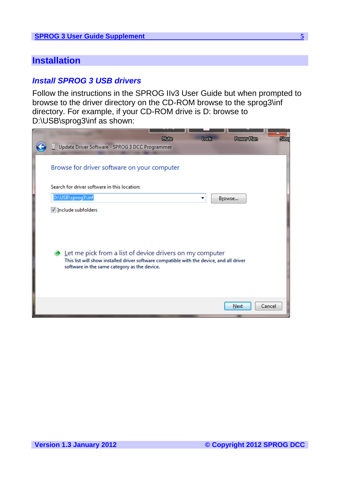### <span id="page-4-0"></span>**Installation**

### <span id="page-4-1"></span>*Install SPROG 3 USB drivers*

Follow the instructions in the SPROG IIv3 User Guide but when prompted to browse to the driver directory on the CD-ROM browse to the sprog3\inf directory. For example, if your CD-ROM drive is D: browse to D:\USB\sprog3\inf as shown:

| Mute<br>Lock.<br><b>Power Plan</b><br>Slee                                                                                                                                                                         |
|--------------------------------------------------------------------------------------------------------------------------------------------------------------------------------------------------------------------|
| Update Driver Software - SPROG 3 DCC Programmer                                                                                                                                                                    |
| Browse for driver software on your computer                                                                                                                                                                        |
| Search for driver software in this location:                                                                                                                                                                       |
| D:\USB\sprog3\inf<br>Browse                                                                                                                                                                                        |
| Include subfolders                                                                                                                                                                                                 |
| $\rightarrow$ Let me pick from a list of device drivers on my computer<br>This list will show installed driver software compatible with the device, and all driver<br>software in the same category as the device. |
| Cancel<br>Next                                                                                                                                                                                                     |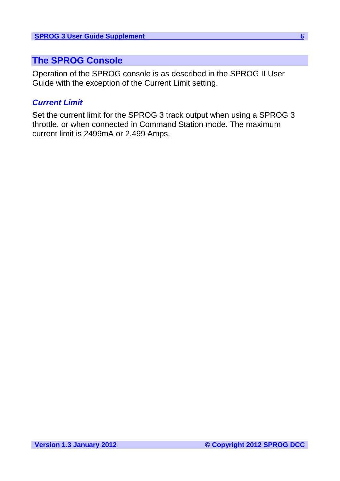# <span id="page-5-0"></span>**The SPROG Console**

Operation of the SPROG console is as described in the SPROG II User Guide with the exception of the Current Limit setting.

### <span id="page-5-1"></span>*Current Limit*

Set the current limit for the SPROG 3 track output when using a SPROG 3 throttle, or when connected in Command Station mode. The maximum current limit is 2499mA or 2.499 Amps.